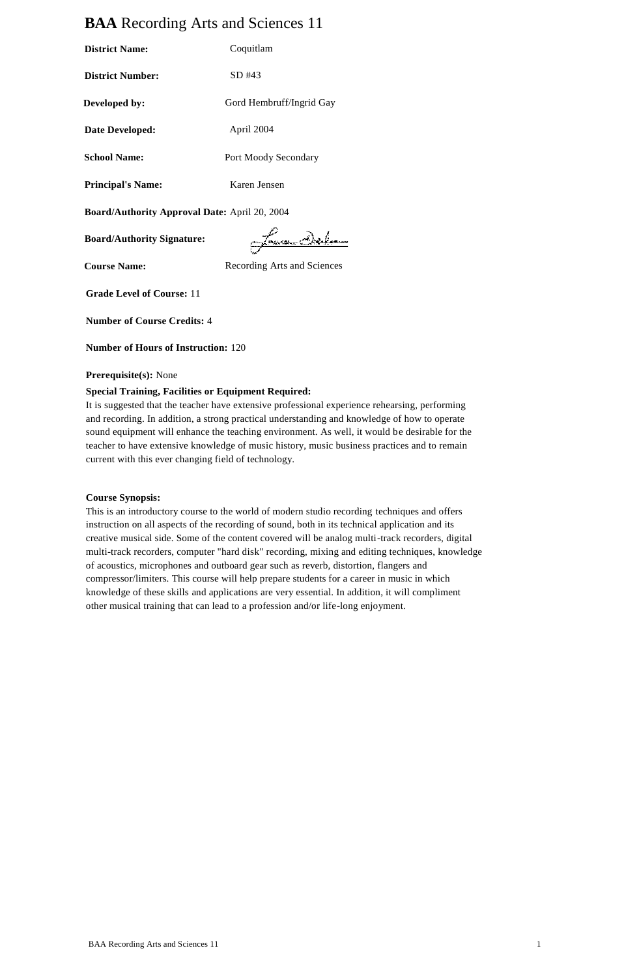# **BAA** Recording Arts and Sciences 11

| <b>District Name:</b>                         | Coquitlam                |
|-----------------------------------------------|--------------------------|
| <b>District Number:</b>                       | SD #43                   |
| Developed by:                                 | Gord Hembruff/Ingrid Gay |
| Date Developed:                               | April 2004               |
| <b>School Name:</b>                           | Port Moody Secondary     |
| <b>Principal's Name:</b>                      | Karen Jensen             |
| Board/Authority Approval Date: April 20, 2004 |                          |
| <b>Board/Authority Signature:</b>             |                          |

**Course Name:** Recording Arts and Sciences

ದ

**Grade Level of Course:** 11

**Number of Course Credits:** 4

**Number of Hours of Instruction:** 120

#### **Prerequisite(s):** None

### **Special Training, Facilities or Equipment Required:**

It is suggested that the teacher have extensive professional experience rehearsing, performing and recording. In addition, a strong practical understanding and knowledge of how to operate sound equipment will enhance the teaching environment. As well, it would be desirable for the teacher to have extensive knowledge of music history, music business practices and to remain current with this ever changing field of technology.

#### **Course Synopsis:**

This is an introductory course to the world of modern studio recording techniques and offers instruction on all aspects of the recording of sound, both in its technical application and its creative musical side. Some of the content covered will be analog multi-track recorders, digital multi-track recorders, computer "hard disk" recording, mixing and editing techniques, knowledge of acoustics, microphones and outboard gear such as reverb, distortion, flangers and compressor/limiters. This course will help prepare students for a career in music in which knowledge of these skills and applications are very essential. In addition, it will compliment other musical training that can lead to a profession and/or life-long enjoyment.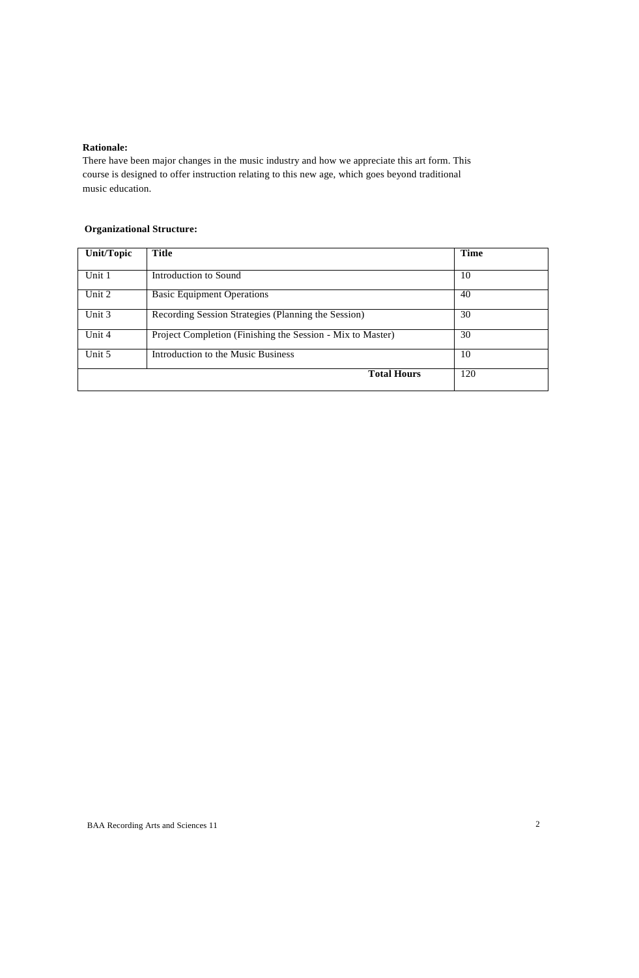# **Rationale:**

There have been major changes in the music industry and how we appreciate this art form. This course is designed to offer instruction relating to this new age, which goes beyond traditional music education.

# **Organizational Structure:**

| <b>Unit/Topic</b> | <b>Title</b>                                               | <b>Time</b> |
|-------------------|------------------------------------------------------------|-------------|
| Unit 1            | Introduction to Sound                                      | 10          |
| Unit 2            | <b>Basic Equipment Operations</b>                          | 40          |
| Unit 3            | Recording Session Strategies (Planning the Session)        | 30          |
| Unit 4            | Project Completion (Finishing the Session - Mix to Master) | 30          |
| Unit 5            | Introduction to the Music Business                         | 10          |
|                   | <b>Total Hours</b>                                         | 120         |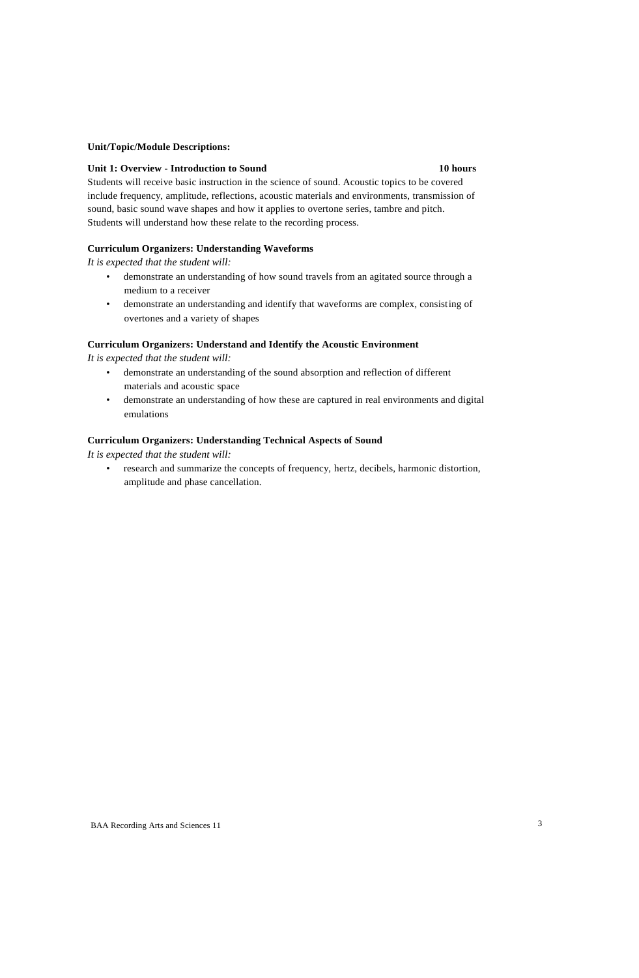#### **Unit/Topic/Module Descriptions:**

### **Unit 1: Overview - Introduction to Sound 10 hours**

Students will receive basic instruction in the science of sound. Acoustic topics to be covered include frequency, amplitude, reflections, acoustic materials and environments, transmission of sound, basic sound wave shapes and how it applies to overtone series, tambre and pitch. Students will understand how these relate to the recording process.

# **Curriculum Organizers: Understanding Waveforms**

*It is expected that the student will:*

- demonstrate an understanding of how sound travels from an agitated source through a medium to a receiver
- demonstrate an understanding and identify that waveforms are complex, consisting of overtones and a variety of shapes

#### **Curriculum Organizers: Understand and Identify the Acoustic Environment**

*It is expected that the student will:*

- demonstrate an understanding of the sound absorption and reflection of different materials and acoustic space
- demonstrate an understanding of how these are captured in real environments and digital emulations

#### **Curriculum Organizers: Understanding Technical Aspects of Sound**

*It is expected that the student will:*

research and summarize the concepts of frequency, hertz, decibels, harmonic distortion, amplitude and phase cancellation.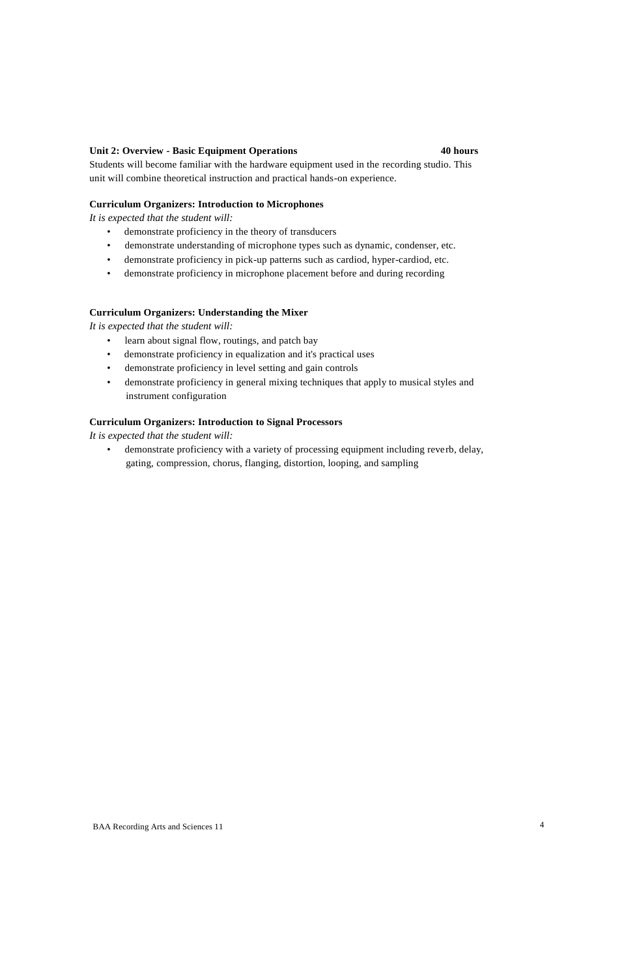#### **Unit 2: Overview - Basic Equipment Operations 40 hours**

Students will become familiar with the hardware equipment used in the recording studio. This unit will combine theoretical instruction and practical hands-on experience.

#### **Curriculum Organizers: Introduction to Microphones**

*It is expected that the student will:*

- demonstrate proficiency in the theory of transducers
- demonstrate understanding of microphone types such as dynamic, condenser, etc.
- demonstrate proficiency in pick-up patterns such as cardiod, hyper-cardiod, etc.
- demonstrate proficiency in microphone placement before and during recording

#### **Curriculum Organizers: Understanding the Mixer**

*It is expected that the student will:*

- learn about signal flow, routings, and patch bay
- demonstrate proficiency in equalization and it's practical uses
- demonstrate proficiency in level setting and gain controls
- demonstrate proficiency in general mixing techniques that apply to musical styles and instrument configuration

### **Curriculum Organizers: Introduction to Signal Processors**

*It is expected that the student will:*

• demonstrate proficiency with a variety of processing equipment including reverb, delay, gating, compression, chorus, flanging, distortion, looping, and sampling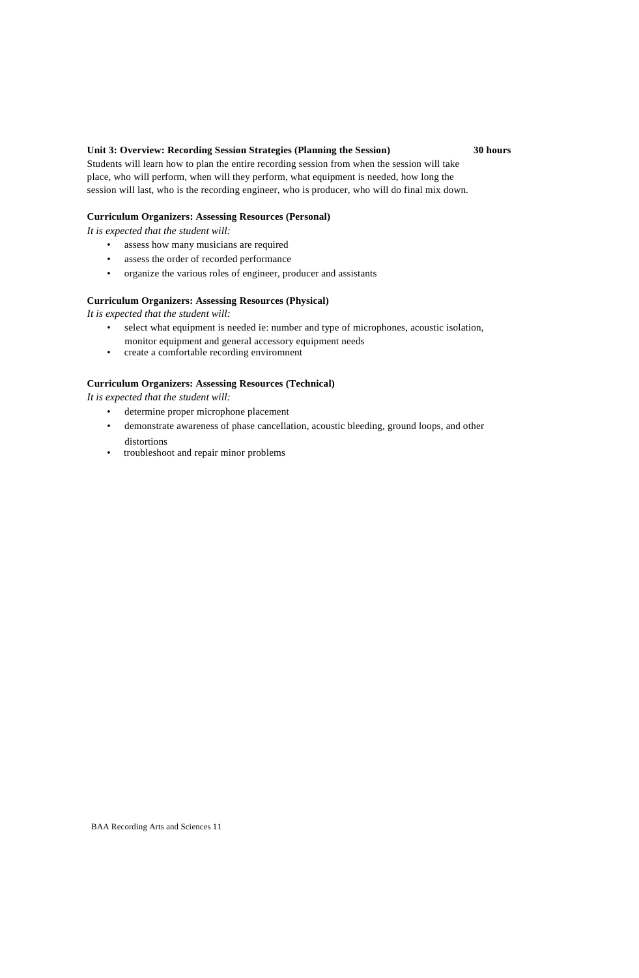### **Unit 3: Overview: Recording Session Strategies (Planning the Session) 30 hours**

Students will learn how to plan the entire recording session from when the session will take place, who will perform, when will they perform, what equipment is needed, how long the session will last, who is the recording engineer, who is producer, who will do final mix down.

#### **Curriculum Organizers: Assessing Resources (Personal)**

*It is expected that the student will:*

- assess how many musicians are required
- assess the order of recorded performance
- organize the various roles of engineer, producer and assistants

### **Curriculum Organizers: Assessing Resources (Physical)**

*It is expected that the student will:*

- select what equipment is needed ie: number and type of microphones, acoustic isolation, monitor equipment and general accessory equipment needs
- create a comfortable recording enviromnent

## **Curriculum Organizers: Assessing Resources (Technical)**

*It is expected that the student will:*

- determine proper microphone placement
- demonstrate awareness of phase cancellation, acoustic bleeding, ground loops, and other distortions
- troubleshoot and repair minor problems

BAA Recording Arts and Sciences 11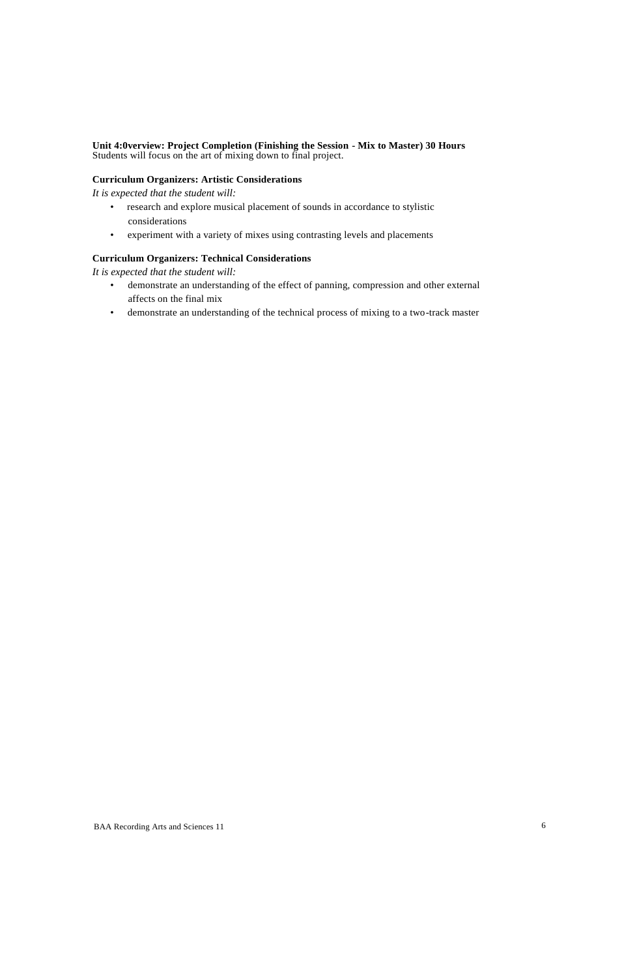### **Unit 4:0verview: Project Completion (Finishing the Session - Mix to Master) 30 Hours** Students will focus on the art of mixing down to final project.

### **Curriculum Organizers: Artistic Considerations**

*It is expected that the student will:*

- research and explore musical placement of sounds in accordance to stylistic considerations
- experiment with a variety of mixes using contrasting levels and placements

# **Curriculum Organizers: Technical Considerations**

*It is expected that the student will:*

- demonstrate an understanding of the effect of panning, compression and other external affects on the final mix
- demonstrate an understanding of the technical process of mixing to a two-track master

BAA Recording Arts and Sciences 11 6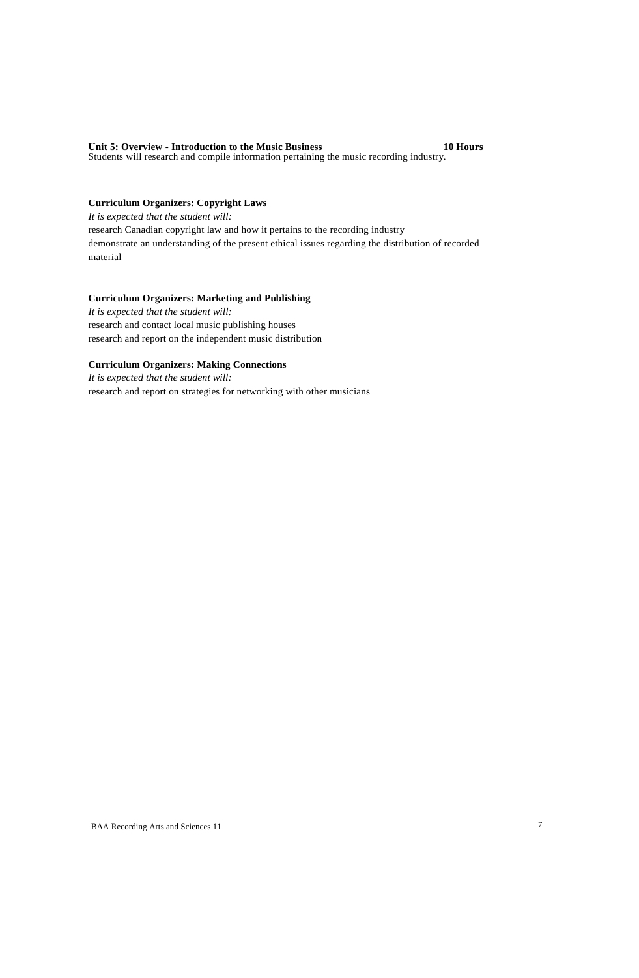#### **Unit 5: Overview - Introduction to the Music Business 10 Hours** Students will research and compile information pertaining the music recording industry.

# **Curriculum Organizers: Copyright Laws**

*It is expected that the student will:* research Canadian copyright law and how it pertains to the recording industry demonstrate an understanding of the present ethical issues regarding the distribution of recorded material

# **Curriculum Organizers: Marketing and Publishing**

*It is expected that the student will:* research and contact local music publishing houses research and report on the independent music distribution

# **Curriculum Organizers: Making Connections**

*It is expected that the student will:* research and report on strategies for networking with other musicians

BAA Recording Arts and Sciences 11 7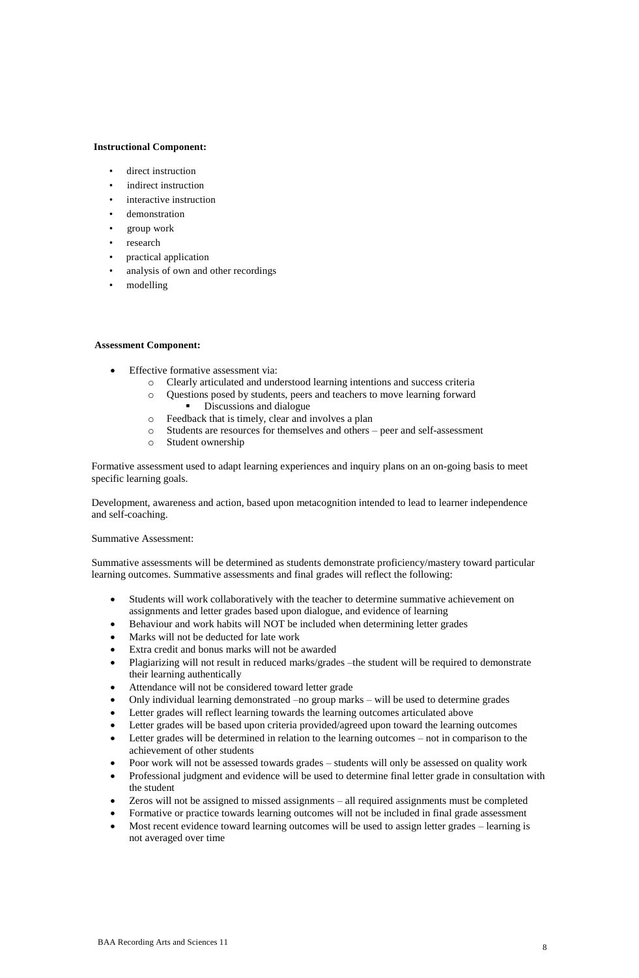#### **Instructional Component:**

- direct instruction
- indirect instruction
- interactive instruction
- demonstration
- group work
- research
- practical application
- analysis of own and other recordings
- modelling

#### **Assessment Component:**

- Effective formative assessment via:
	- o Clearly articulated and understood learning intentions and success criteria
	- o Questions posed by students, peers and teachers to move learning forward
		- Discussions and dialogue
	- o Feedback that is timely, clear and involves a plan
	- o Students are resources for themselves and others peer and self-assessment
	- o Student ownership

Formative assessment used to adapt learning experiences and inquiry plans on an on-going basis to meet specific learning goals.

Development, awareness and action, based upon metacognition intended to lead to learner independence and self-coaching.

#### Summative Assessment:

Summative assessments will be determined as students demonstrate proficiency/mastery toward particular learning outcomes. Summative assessments and final grades will reflect the following:

- Students will work collaboratively with the teacher to determine summative achievement on assignments and letter grades based upon dialogue, and evidence of learning
- Behaviour and work habits will NOT be included when determining letter grades
- Marks will not be deducted for late work
- Extra credit and bonus marks will not be awarded
- Plagiarizing will not result in reduced marks/grades –the student will be required to demonstrate their learning authentically
- Attendance will not be considered toward letter grade
- Only individual learning demonstrated –no group marks will be used to determine grades
- Letter grades will reflect learning towards the learning outcomes articulated above
- Letter grades will be based upon criteria provided/agreed upon toward the learning outcomes
- Letter grades will be determined in relation to the learning outcomes not in comparison to the achievement of other students
- Poor work will not be assessed towards grades students will only be assessed on quality work
- Professional judgment and evidence will be used to determine final letter grade in consultation with the student
- Zeros will not be assigned to missed assignments all required assignments must be completed
- Formative or practice towards learning outcomes will not be included in final grade assessment
- Most recent evidence toward learning outcomes will be used to assign letter grades learning is not averaged over time